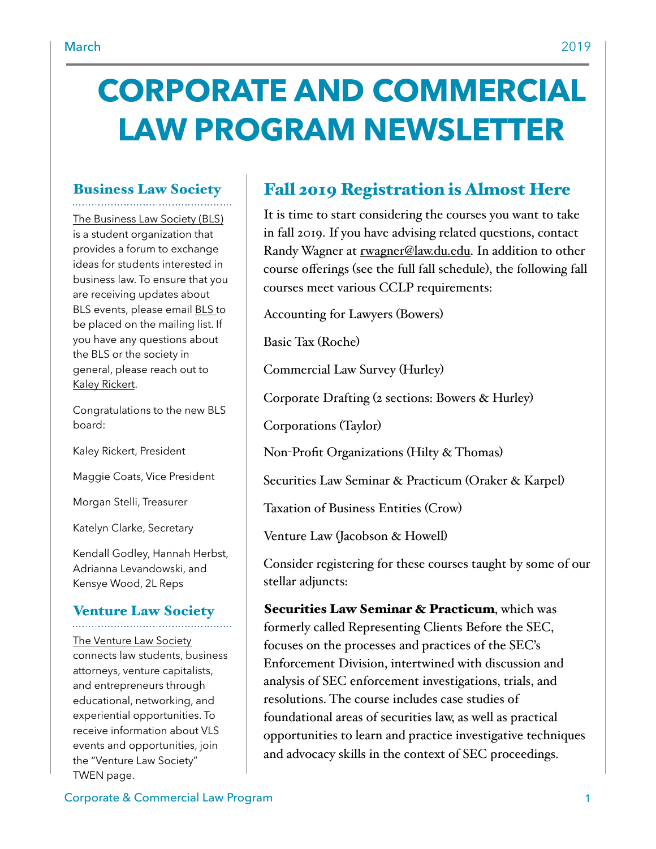# **CORPORATE AND COMMERCIAL LAW PROGRAM NEWSLETTER**

#### Business Law Society

[The Business Law Society \(BLS\)](https://www.law.du.edu/studentorgs/business-law-society)  is a student organization that provides a forum to exchange ideas for students interested in business law. To ensure that you are receiving updates about BLS events, please email [BLS t](mailto:BLS@law.du.edu)o be placed on the mailing list. If you have any questions about the BLS or the society in general, please reach out to [Kaley Rickert.](mailto:krickert21@law.du.edu)

Congratulations to the new BLS board:

Kaley Rickert, President

Maggie Coats, Vice President

Morgan Stelli, Treasurer

Katelyn Clarke, Secretary

Kendall Godley, Hannah Herbst, Adrianna Levandowski, and Kensye Wood, 2L Reps

#### Venture Law Society

[The Venture Law Society](https://www.law.du.edu/studentorgs/venture-law-society)  connects law students, business attorneys, venture capitalists, and entrepreneurs through educational, networking, and experiential opportunities. To receive information about VLS events and opportunities, join the "Venture Law Society" TWEN page.

### Fall 2019 Registration is Almost Here

It is time to start considering the courses you want to take in fall 2019. If you have advising related questions, contact Randy Wagner at [rwagner@law.du.edu](mailto:rwagner@law.du.edu). In addition to other course offerings (see the full fall schedule), the following fall courses meet various CCLP requirements:

Accounting for Lawyers (Bowers)

Basic Tax (Roche)

Commercial Law Survey (Hurley)

Corporate Drafting (2 sections: Bowers & Hurley)

Corporations (Taylor)

Non-Profit Organizations (Hilty & Thomas)

Securities Law Seminar & Practicum (Oraker & Karpel)

Taxation of Business Entities (Crow)

Venture Law (Jacobson & Howell)

Consider registering for these courses taught by some of our stellar adjuncts:

Securities Law Seminar & Practicum, which was formerly called Representing Clients Before the SEC, focuses on the processes and practices of the SEC's Enforcement Division, intertwined with discussion and analysis of SEC enforcement investigations, trials, and resolutions. The course includes case studies of foundational areas of securities law, as well as practical opportunities to learn and practice investigative techniques and advocacy skills in the context of SEC proceedings.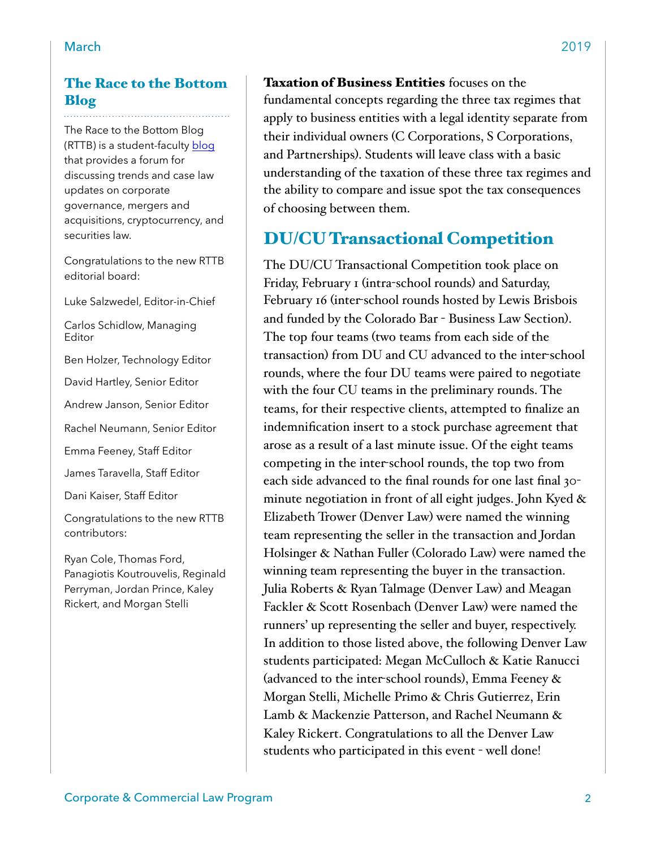#### The Race to the Bottom Blog

The Race to the Bottom Blog (RTTB) is a student-faculty [blog](http://www.theracetothebottom.org/) that provides a forum for discussing trends and case law updates on corporate governance, mergers and acquisitions, cryptocurrency, and securities law.

Congratulations to the new RTTB editorial board:

Luke Salzwedel, Editor-in-Chief

Carlos Schidlow, Managing Editor

Ben Holzer, Technology Editor

David Hartley, Senior Editor

Andrew Janson, Senior Editor

Rachel Neumann, Senior Editor

Emma Feeney, Staff Editor

James Taravella, Staff Editor

Dani Kaiser, Staff Editor

Congratulations to the new RTTB contributors:

Ryan Cole, Thomas Ford, Panagiotis Koutrouvelis, Reginald Perryman, Jordan Prince, Kaley Rickert, and Morgan Stelli

Taxation of Business Entities focuses on the fundamental concepts regarding the three tax regimes that apply to business entities with a legal identity separate from their individual owners (C Corporations, S Corporations, and Partnerships). Students will leave class with a basic understanding of the taxation of these three tax regimes and the ability to compare and issue spot the tax consequences of choosing between them.

#### DU/CU Transactional Competition

The DU/CU Transactional Competition took place on Friday, February 1 (intra-school rounds) and Saturday, February 16 (inter-school rounds hosted by Lewis Brisbois and funded by the Colorado Bar - Business Law Section). The top four teams (two teams from each side of the transaction) from DU and CU advanced to the inter-school rounds, where the four DU teams were paired to negotiate with the four CU teams in the preliminary rounds. The teams, for their respective clients, attempted to finalize an indemnification insert to a stock purchase agreement that arose as a result of a last minute issue. Of the eight teams competing in the inter-school rounds, the top two from each side advanced to the final rounds for one last final 30 minute negotiation in front of all eight judges. John Kyed & Elizabeth Trower (Denver Law) were named the winning team representing the seller in the transaction and Jordan Holsinger & Nathan Fuller (Colorado Law) were named the winning team representing the buyer in the transaction. Julia Roberts & Ryan Talmage (Denver Law) and Meagan Fackler & Scott Rosenbach (Denver Law) were named the runners' up representing the seller and buyer, respectively. In addition to those listed above, the following Denver Law students participated: Megan McCulloch & Katie Ranucci (advanced to the inter-school rounds), Emma Feeney & Morgan Stelli, Michelle Primo & Chris Gutierrez, Erin Lamb & Mackenzie Patterson, and Rachel Neumann & Kaley Rickert. Congratulations to all the Denver Law students who participated in this event - well done!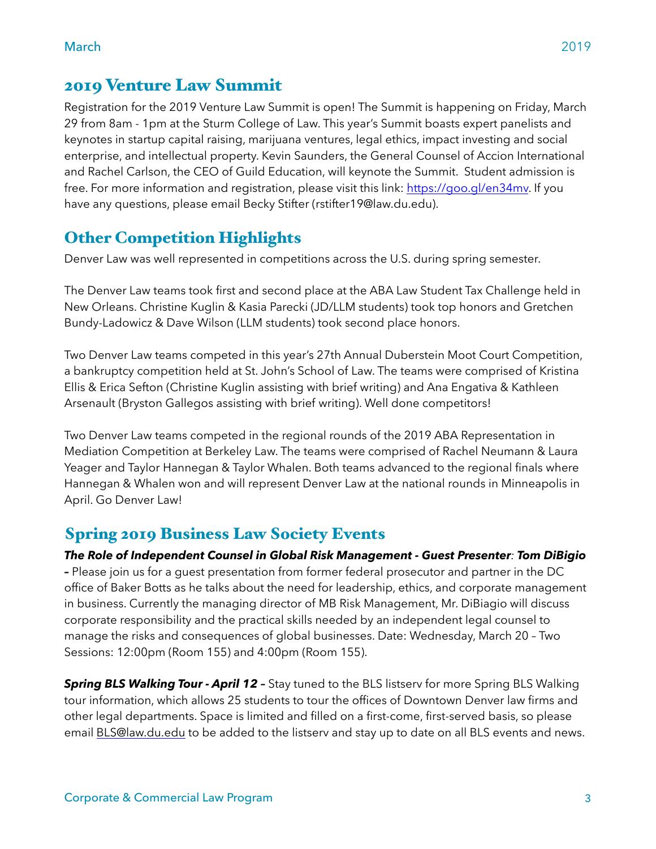Registration for the 2019 Venture Law Summit is open! The Summit is happening on Friday, March 29 from 8am - 1pm at the Sturm College of Law. This year's Summit boasts expert panelists and keynotes in startup capital raising, marijuana ventures, legal ethics, impact investing and social enterprise, and intellectual property. Kevin Saunders, the General Counsel of Accion International and Rachel Carlson, the CEO of Guild Education, will keynote the Summit. Student admission is free. For more information and registration, please visit this link: [https://goo.gl/en34mv.](https://goo.gl/en34mv) If you have any questions, please email Becky Stifter (rstifter19@law.du.edu).

#### Other Competition Highlights

Denver Law was well represented in competitions across the U.S. during spring semester.

The Denver Law teams took first and second place at the ABA Law Student Tax Challenge held in New Orleans. Christine Kuglin & Kasia Parecki (JD/LLM students) took top honors and Gretchen Bundy-Ladowicz & Dave Wilson (LLM students) took second place honors.

Two Denver Law teams competed in this year's 27th Annual Duberstein Moot Court Competition, a bankruptcy competition held at St. John's School of Law. The teams were comprised of Kristina Ellis & Erica Sefton (Christine Kuglin assisting with brief writing) and Ana Engativa & Kathleen Arsenault (Bryston Gallegos assisting with brief writing). Well done competitors!

Two Denver Law teams competed in the regional rounds of the 2019 ABA Representation in Mediation Competition at Berkeley Law. The teams were comprised of Rachel Neumann & Laura Yeager and Taylor Hannegan & Taylor Whalen. Both teams advanced to the regional finals where Hannegan & Whalen won and will represent Denver Law at the national rounds in Minneapolis in April. Go Denver Law!

#### Spring 2019 Business Law Society Events

*The Role of Independent Counsel in Global Risk Management - Guest Presenter: Tom DiBigio –* Please join us for a guest presentation from former federal prosecutor and partner in the DC office of Baker Botts as he talks about the need for leadership, ethics, and corporate management in business. Currently the managing director of MB Risk Management, Mr. DiBiagio will discuss corporate responsibility and the practical skills needed by an independent legal counsel to manage the risks and consequences of global businesses. Date: Wednesday, March 20 – Two Sessions: 12:00pm (Room 155) and 4:00pm (Room 155).

**Spring BLS Walking Tour - April 12 -** Stay tuned to the BLS listserv for more Spring BLS Walking tour information, which allows 25 students to tour the offices of Downtown Denver law firms and other legal departments. Space is limited and filled on a first-come, first-served basis, so please email [BLS@law.du.edu](mailto:BLS@law.du.edu) to be added to the listserv and stay up to date on all BLS events and news.